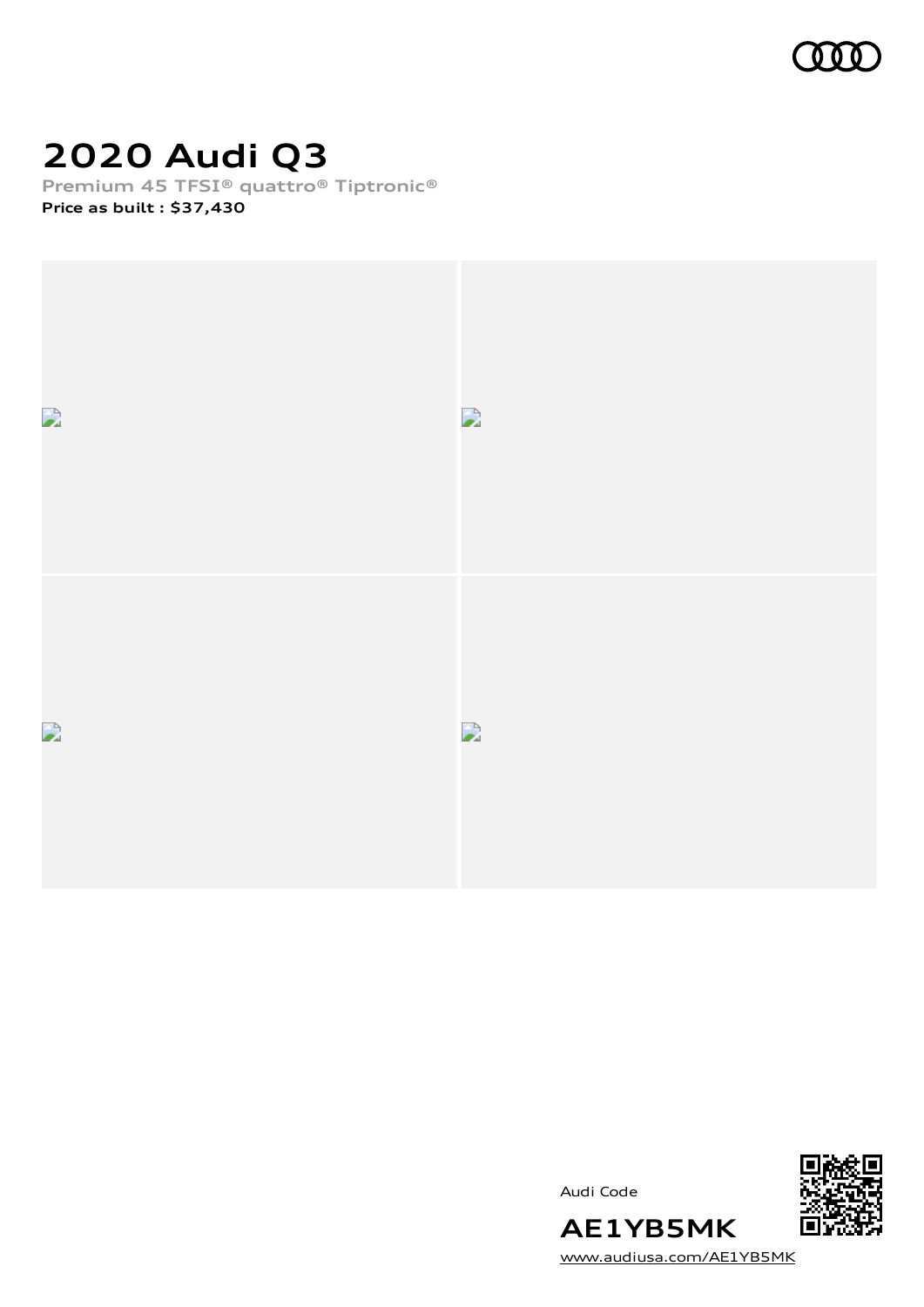

# **2020 Audi Q3**

**Premium 45 TFSI® quattro® Tiptronic®**

**Price as built [:](#page-10-0) \$37,430**





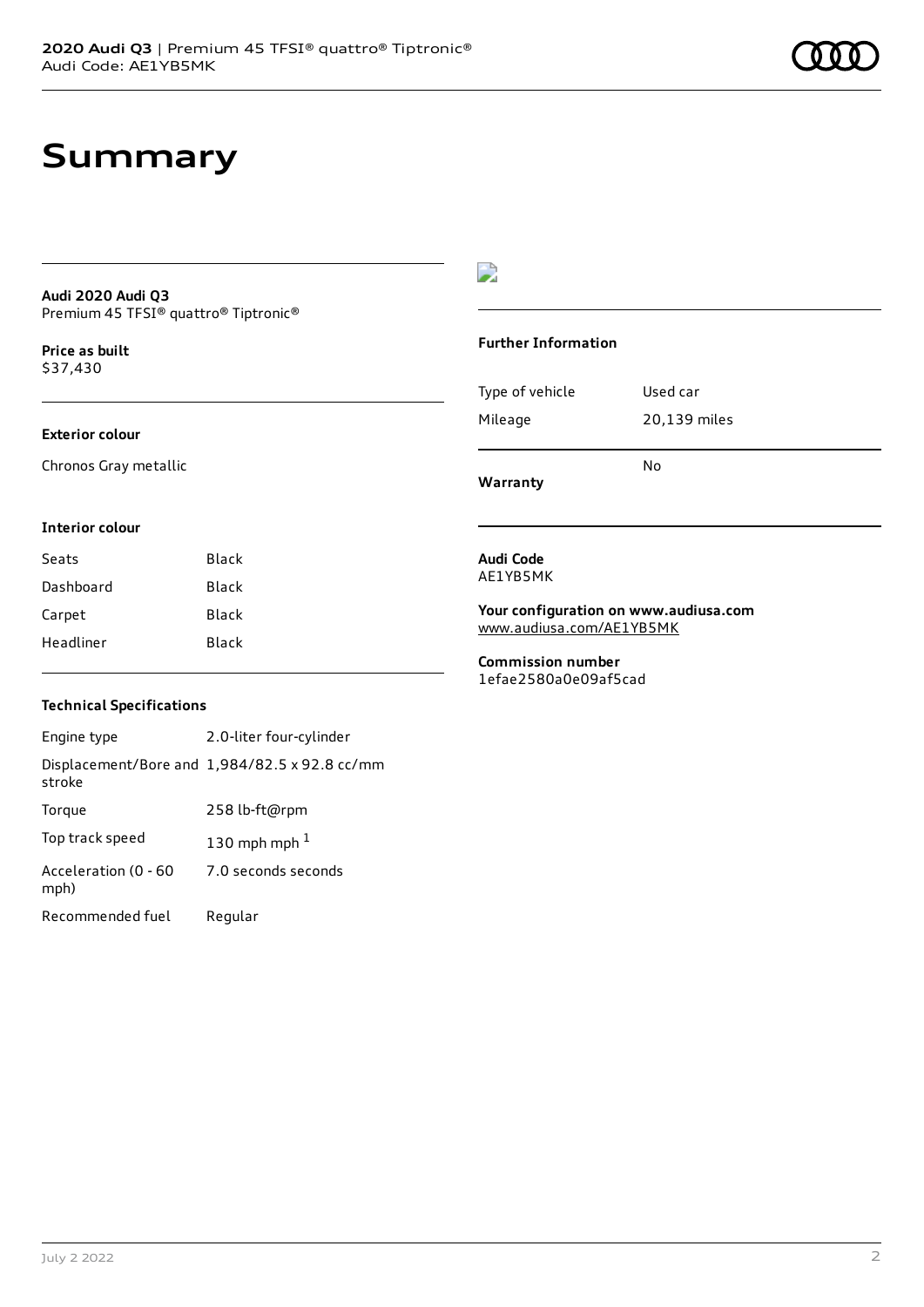## **Summary**

### **Audi 2020 Audi Q3** Premium 45 TFSI® quattro® Tiptronic®

**Price as buil[t](#page-10-0)** \$37,430

### **Exterior colour**

Chronos Gray metallic

### $\overline{\phantom{a}}$

### **Further Information**

| Warranty        | N٥           |
|-----------------|--------------|
| Mileage         | 20,139 miles |
| Type of vehicle | Used car     |

#### **Interior colour**

| Seats     | Black |
|-----------|-------|
| Dashboard | Black |
| Carpet    | Black |
| Headliner | Black |

#### **Audi Code** AE1YB5MK

#### **Your configuration on www.audiusa.com** [www.audiusa.com/AE1YB5MK](https://www.audiusa.com/AE1YB5MK)

**Commission number** 1efae2580a0e09af5cad

### **Technical Specifications**

| Engine type                  | 2.0-liter four-cylinder                       |
|------------------------------|-----------------------------------------------|
| stroke                       | Displacement/Bore and 1,984/82.5 x 92.8 cc/mm |
| Torque                       | 258 lb-ft@rpm                                 |
| Top track speed              | 130 mph mph $1$                               |
| Acceleration (0 - 60<br>mph) | 7.0 seconds seconds                           |
| Recommended fuel             | Regular                                       |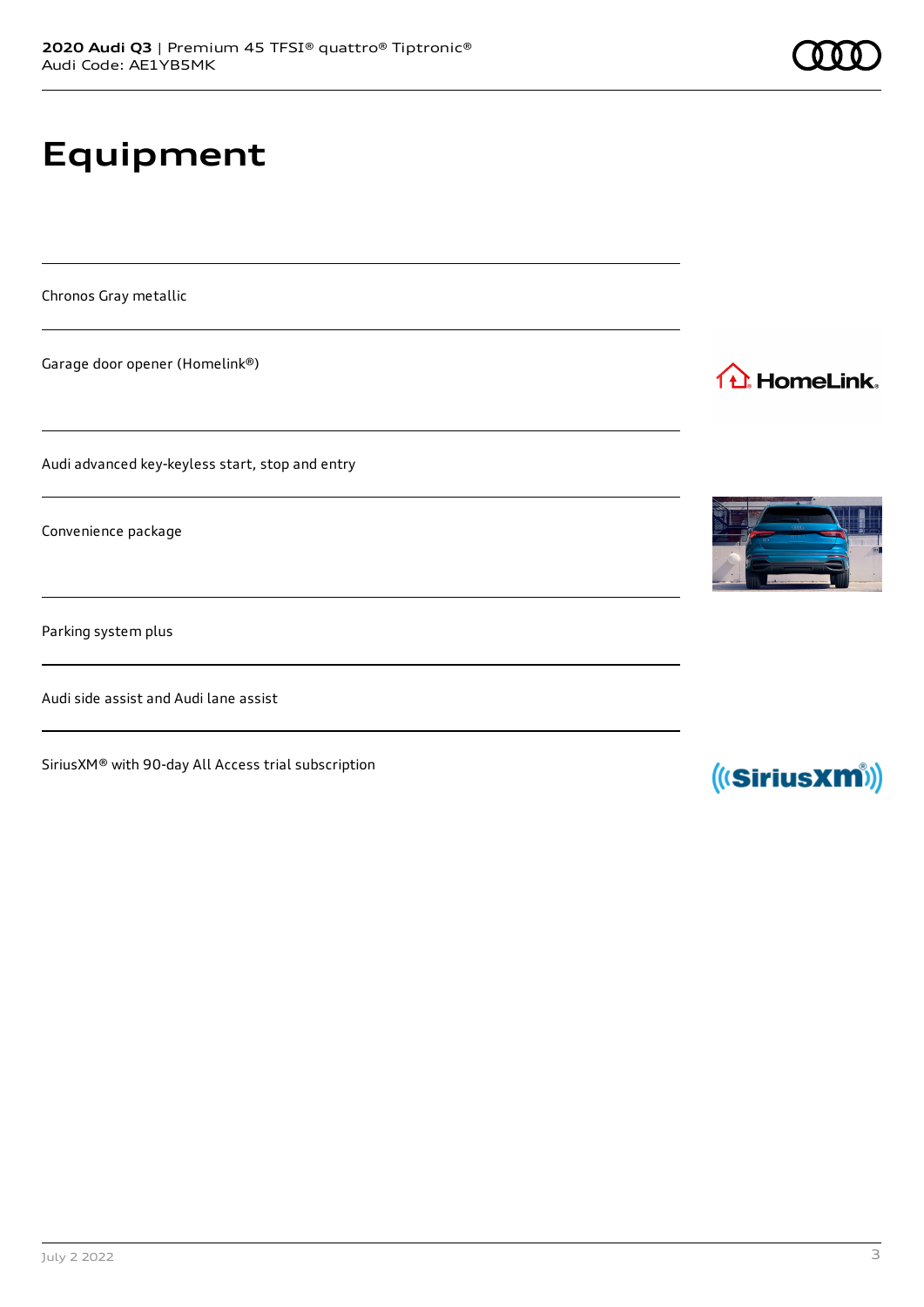# **Equipment**

Chronos Gray metallic

Garage door opener (Homelink®)

Audi advanced key-keyless start, stop and entry

Convenience package

Parking system plus

Audi side assist and Audi lane assist

SiriusXM® with 90-day All Access trial subscription



(((SiriusXM))

1<sup>1</sup> HomeLink.

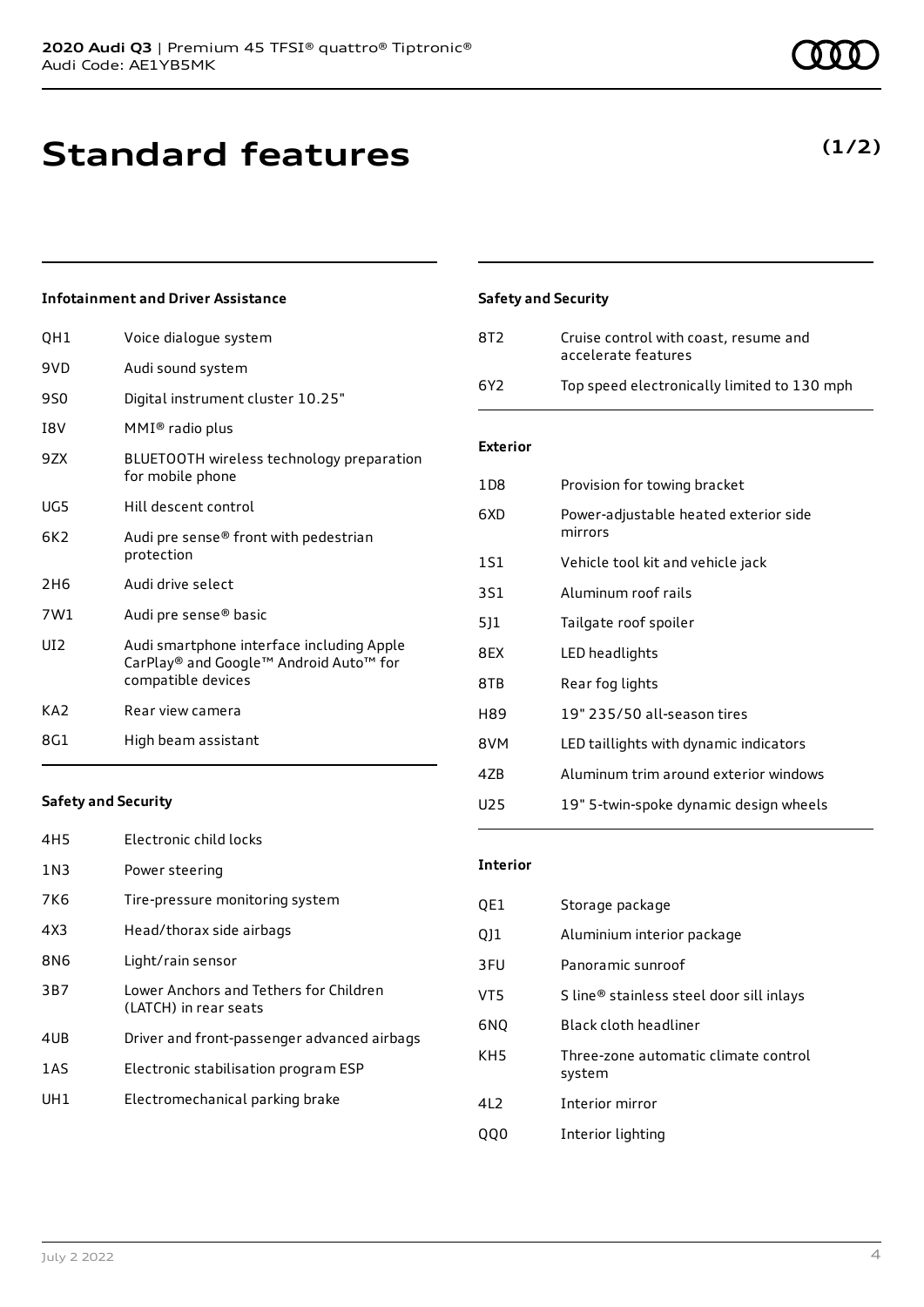# **Standard features**

### **Infotainment and Driver Assistance**

| QH1             | Voice dialogue system                                                                                     |
|-----------------|-----------------------------------------------------------------------------------------------------------|
| 9VD.            | Audi sound system                                                                                         |
| 9S0             | Digital instrument cluster 10.25"                                                                         |
| I8V             | MMI® radio plus                                                                                           |
| 9ZX             | BLUETOOTH wireless technology preparation<br>for mobile phone                                             |
| UG5             | Hill descent control                                                                                      |
| 6K2.            | Audi pre sense® front with pedestrian<br>protection                                                       |
| 2H6             | Audi drive select                                                                                         |
| 7W1             | Audi pre sense® basic                                                                                     |
| UD <sub>2</sub> | Audi smartphone interface including Apple<br>CarPlay® and Google™ Android Auto™ for<br>compatible devices |
| KA <sub>2</sub> | Rear view camera                                                                                          |
| 8G1             | High beam assistant                                                                                       |
|                 |                                                                                                           |

### **Safety and Security**

| 8T2 | Cruise control with coast, resume and<br>accelerate features |
|-----|--------------------------------------------------------------|
| 6Y2 | Top speed electronically limited to 130 mph                  |

### **Exterior**

| 1D8 | Provision for towing bracket                     |
|-----|--------------------------------------------------|
| 6XD | Power-adjustable heated exterior side<br>mirrors |
| 1S1 | Vehicle tool kit and vehicle jack                |
| 3S1 | Aluminum roof rails                              |
| 5]1 | Tailgate roof spoiler                            |
| 8EX | LED headlights                                   |
| 8TB | Rear fog lights                                  |
| H89 | 19" 235/50 all-season tires                      |
| 8VM | LED taillights with dynamic indicators           |
| 4ZB | Aluminum trim around exterior windows            |
| U25 | 19" 5-twin-spoke dynamic design wheels           |

### **Safety and Security**

| 4H5 | Electronic child locks                                          |
|-----|-----------------------------------------------------------------|
| 1N3 | Power steering                                                  |
| 7K6 | Tire-pressure monitoring system                                 |
| 4X3 | Head/thorax side airbags                                        |
| 8N6 | Light/rain sensor                                               |
| 3B7 | Lower Anchors and Tethers for Children<br>(LATCH) in rear seats |
| 4UB | Driver and front-passenger advanced airbags                     |
| 1AS | Electronic stabilisation program ESP                            |
| UH1 | Electromechanical parking brake                                 |
|     |                                                                 |

### **Interior**

| QE1             | Storage package                                |
|-----------------|------------------------------------------------|
| QJ1             | Aluminium interior package                     |
| 3FU             | Panoramic sunroof                              |
| VT5             | S line® stainless steel door sill inlays       |
| 6NO             | Black cloth headliner                          |
| KH <sub>5</sub> | Three-zone automatic climate control<br>system |
| 41 2            | Interior mirror                                |
|                 | Interior lighting                              |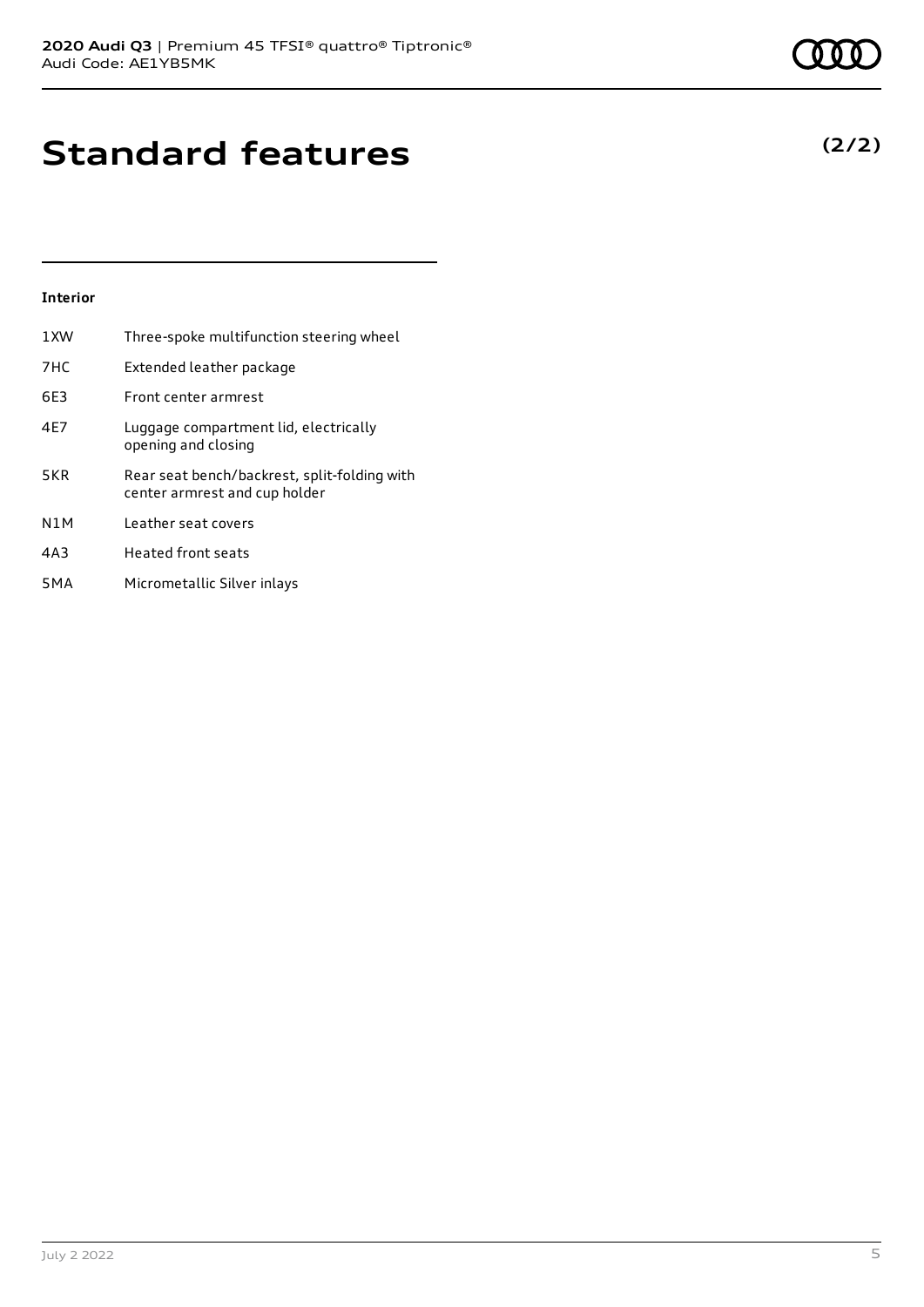## **Standard features**

### **Interior**

| 1XW              | Three-spoke multifunction steering wheel                                      |
|------------------|-------------------------------------------------------------------------------|
| 7HC              | Extended leather package                                                      |
| 6E3              | Front center armrest                                                          |
| 4E7              | Luggage compartment lid, electrically<br>opening and closing                  |
| 5KR              | Rear seat bench/backrest, split-folding with<br>center armrest and cup holder |
| N <sub>1</sub> M | Leather seat covers                                                           |
| 4A3              | Heated front seats                                                            |
| 5 <sub>M</sub> A | Micrometallic Silver inlays                                                   |

July 2 2022 5

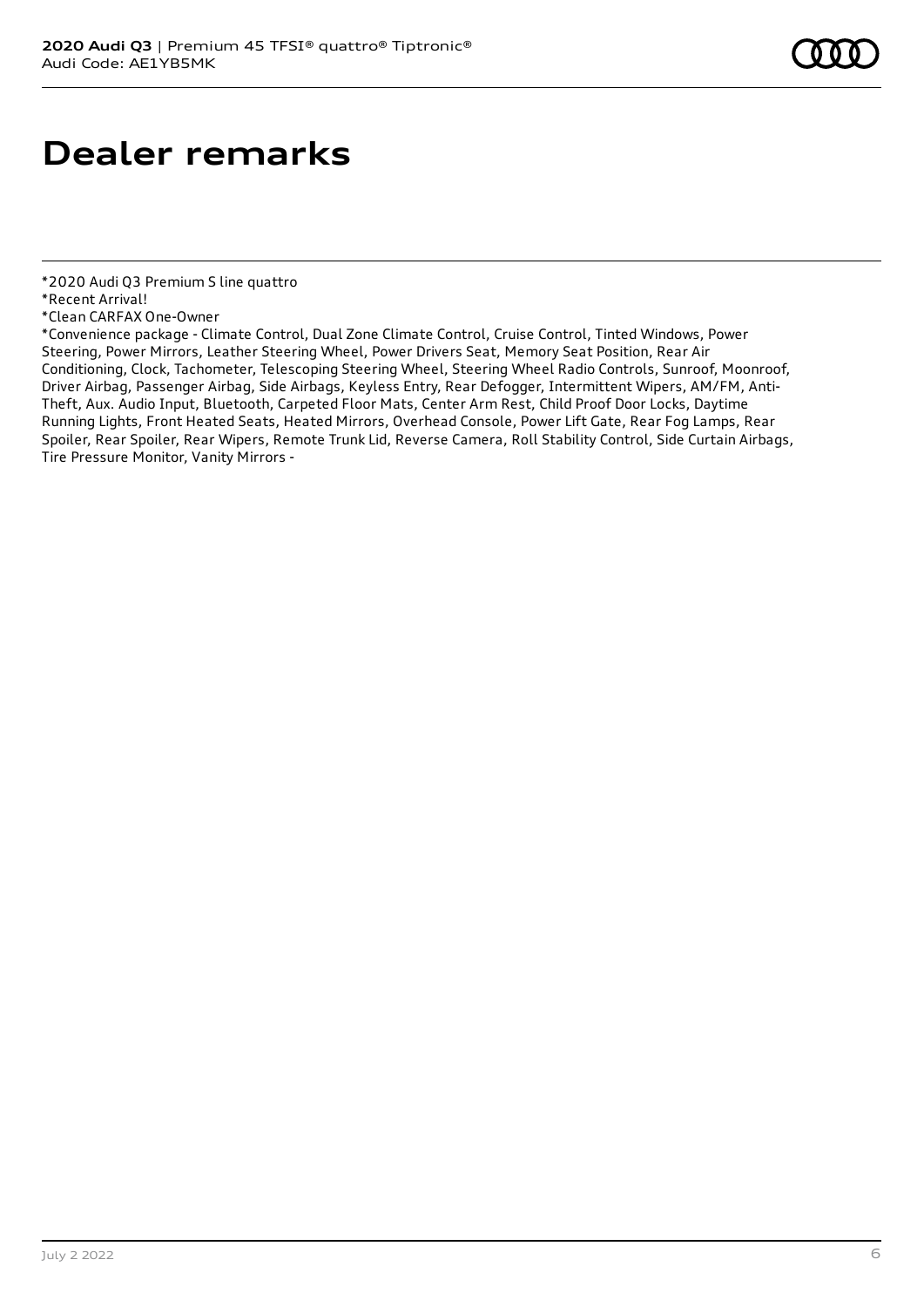## **Dealer remarks**

\*Convenience package - Climate Control, Dual Zone Climate Control, Cruise Control, Tinted Windows, Power Steering, Power Mirrors, Leather Steering Wheel, Power Drivers Seat, Memory Seat Position, Rear Air Conditioning, Clock, Tachometer, Telescoping Steering Wheel, Steering Wheel Radio Controls, Sunroof, Moonroof, Driver Airbag, Passenger Airbag, Side Airbags, Keyless Entry, Rear Defogger, Intermittent Wipers, AM/FM, Anti-Theft, Aux. Audio Input, Bluetooth, Carpeted Floor Mats, Center Arm Rest, Child Proof Door Locks, Daytime Running Lights, Front Heated Seats, Heated Mirrors, Overhead Console, Power Lift Gate, Rear Fog Lamps, Rear Spoiler, Rear Spoiler, Rear Wipers, Remote Trunk Lid, Reverse Camera, Roll Stability Control, Side Curtain Airbags, Tire Pressure Monitor, Vanity Mirrors -

<sup>\*2020</sup> Audi Q3 Premium S line quattro

<sup>\*</sup>Recent Arrival!

<sup>\*</sup>Clean CARFAX One-Owner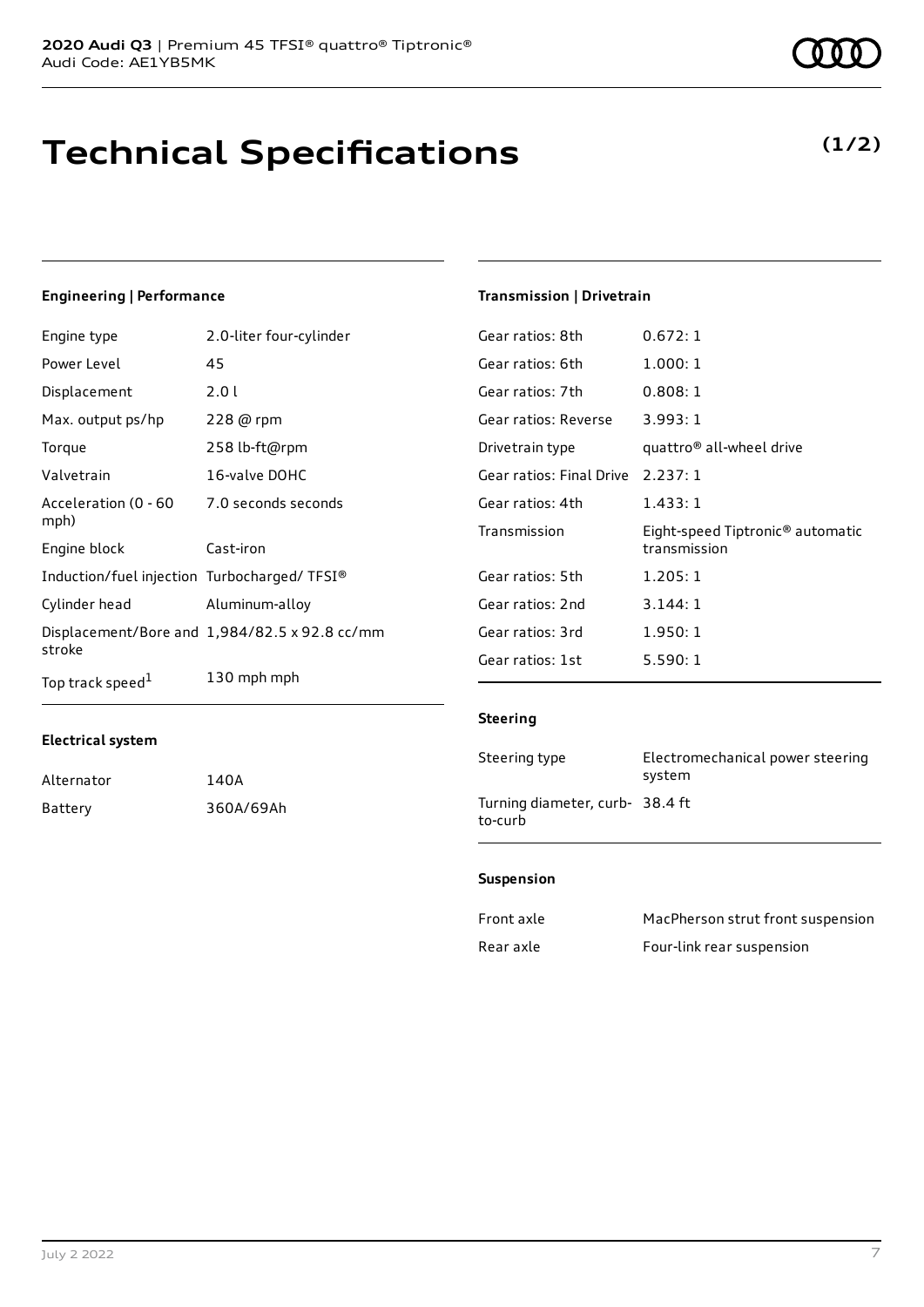# **Technical Specifications**

Engine type 2.0-liter four-cylinder Power Level 45

**Engineering | Performance**

| Displacement                                | 2.01                                          |
|---------------------------------------------|-----------------------------------------------|
| Max. output ps/hp                           | 228 @ rpm                                     |
| Torque                                      | 258 lb-ft@rpm                                 |
| Valvetrain                                  | 16-valve DOHC                                 |
| Acceleration (0 - 60<br>mph)                | 7.0 seconds seconds                           |
| Engine block                                | Cast-iron                                     |
| Induction/fuel injection Turbocharged/TFSI® |                                               |
| Cylinder head                               | Aluminum-alloy                                |
| stroke                                      | Displacement/Bore and 1,984/82.5 x 92.8 cc/mm |
| Top track speed <sup>1</sup>                | 130 mph mph                                   |

### **Electrical system**

| Alternator | 140A      |
|------------|-----------|
| Battery    | 360A/69Ah |

### **Transmission | Drivetrain**

| Gear ratios: 8th         | 0.672:1                                                      |
|--------------------------|--------------------------------------------------------------|
| Gear ratios: 6th         | 1.000:1                                                      |
| Gear ratios: 7th         | 0.808:1                                                      |
| Gear ratios: Reverse     | 3.993:1                                                      |
| Drivetrain type          | quattro <sup>®</sup> all-wheel drive                         |
| Gear ratios: Final Drive | 2.237:1                                                      |
| Gear ratios: 4th         | 1.433:1                                                      |
| Transmission             | Eight-speed Tiptronic <sup>®</sup> automatic<br>transmission |
| Gear ratios: 5th         | 1.205:1                                                      |
| Gear ratios: 2nd         | 3.144:1                                                      |
| Gear ratios: 3rd         | 1.950:1                                                      |
| Gear ratios: 1st         | 5.590: 1                                                     |

### **Steering**

| Steering type                             | Electromechanical power steering<br>system |
|-------------------------------------------|--------------------------------------------|
| Turning diameter, curb-38.4 ft<br>to-curb |                                            |

### **Suspension**

| Front axle | MacPherson strut front suspension |
|------------|-----------------------------------|
| Rear axle  | Four-link rear suspension         |

### **(1/2)**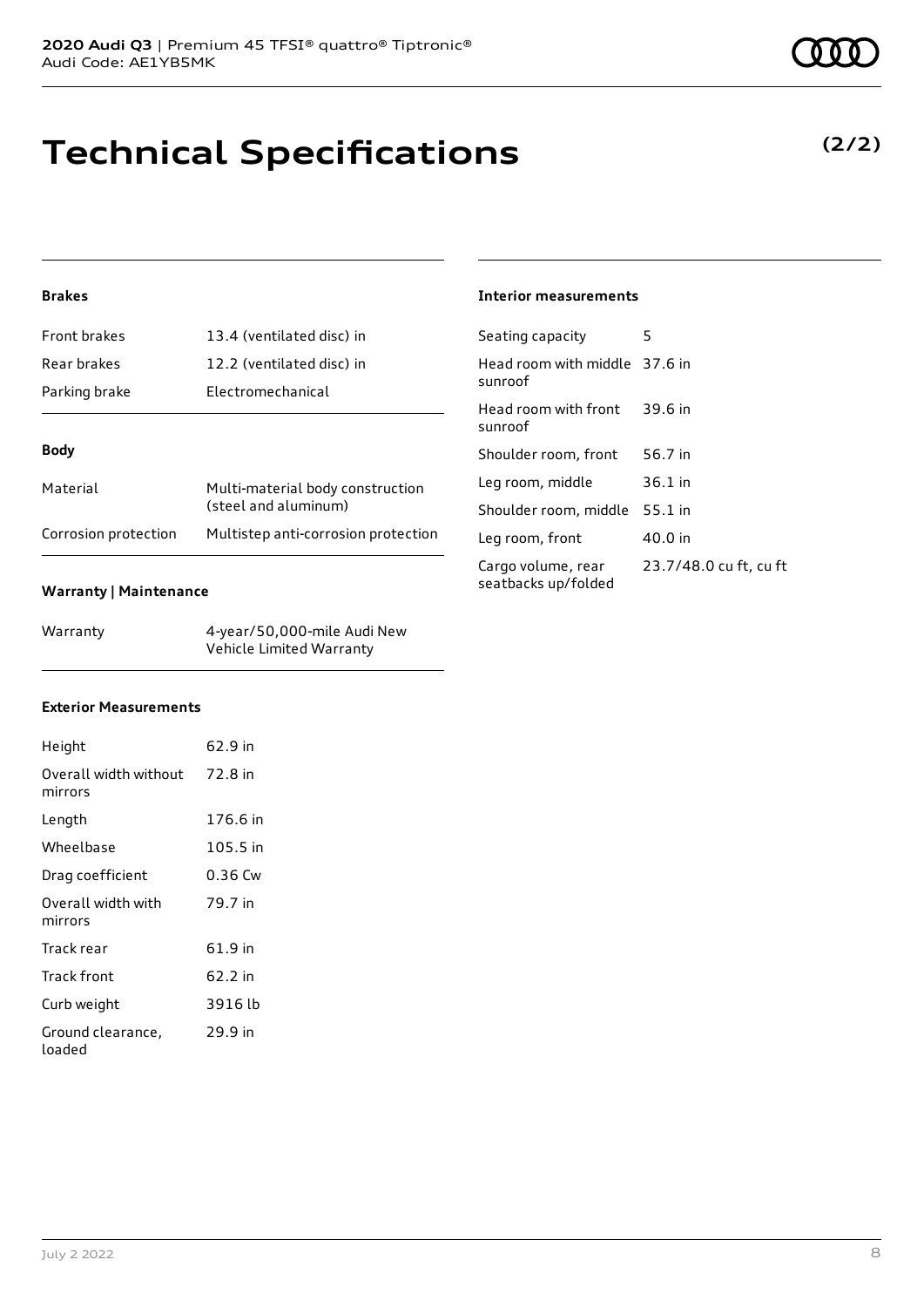# **Technical Specifications**

### **Brakes**

| Front brakes         | 13.4 (ventilated disc) in                                |
|----------------------|----------------------------------------------------------|
| Rear brakes          | 12.2 (ventilated disc) in                                |
| Parking brake        | Electromechanical                                        |
|                      |                                                          |
| <b>Body</b>          |                                                          |
| Material             | Multi-material body construction<br>(steel and aluminum) |
| Corrosion protection | Multistep anti-corrosion protection                      |

### **Warranty | Maintenance**

| Warranty | 4-year/50,000-mile Audi New |
|----------|-----------------------------|
|          | Vehicle Limited Warranty    |

### **Interior measurements**

| Seating capacity                          | 5                      |
|-------------------------------------------|------------------------|
| Head room with middle 37.6 in<br>sunroof  |                        |
| Head room with front<br>sunroof           | 39.6 in                |
| Shoulder room, front                      | 56.7 in                |
| Leg room, middle                          | $36.1$ in              |
| Shoulder room, middle                     | $55.1$ in              |
| Leg room, front                           | 40.0 in                |
| Cargo volume, rear<br>seatbacks up/folded | 23.7/48.0 cu ft, cu ft |

### **Exterior Measurements**

| Height                                   | 62.9 in  |
|------------------------------------------|----------|
| Overall width without 72.8 in<br>mirrors |          |
| Length                                   | 176.6 in |
| Wheelbase                                | 105.5 in |
| Drag coefficient                         | 0.36 Cw  |
| Overall width with<br>mirrors            | 79.7 in  |
| Track rear                               | 61.9 in  |
| Track front                              | 62.2 in  |
| Curb weight                              | 3916 lb  |
| Ground clearance,<br>loaded              | 29.9 in  |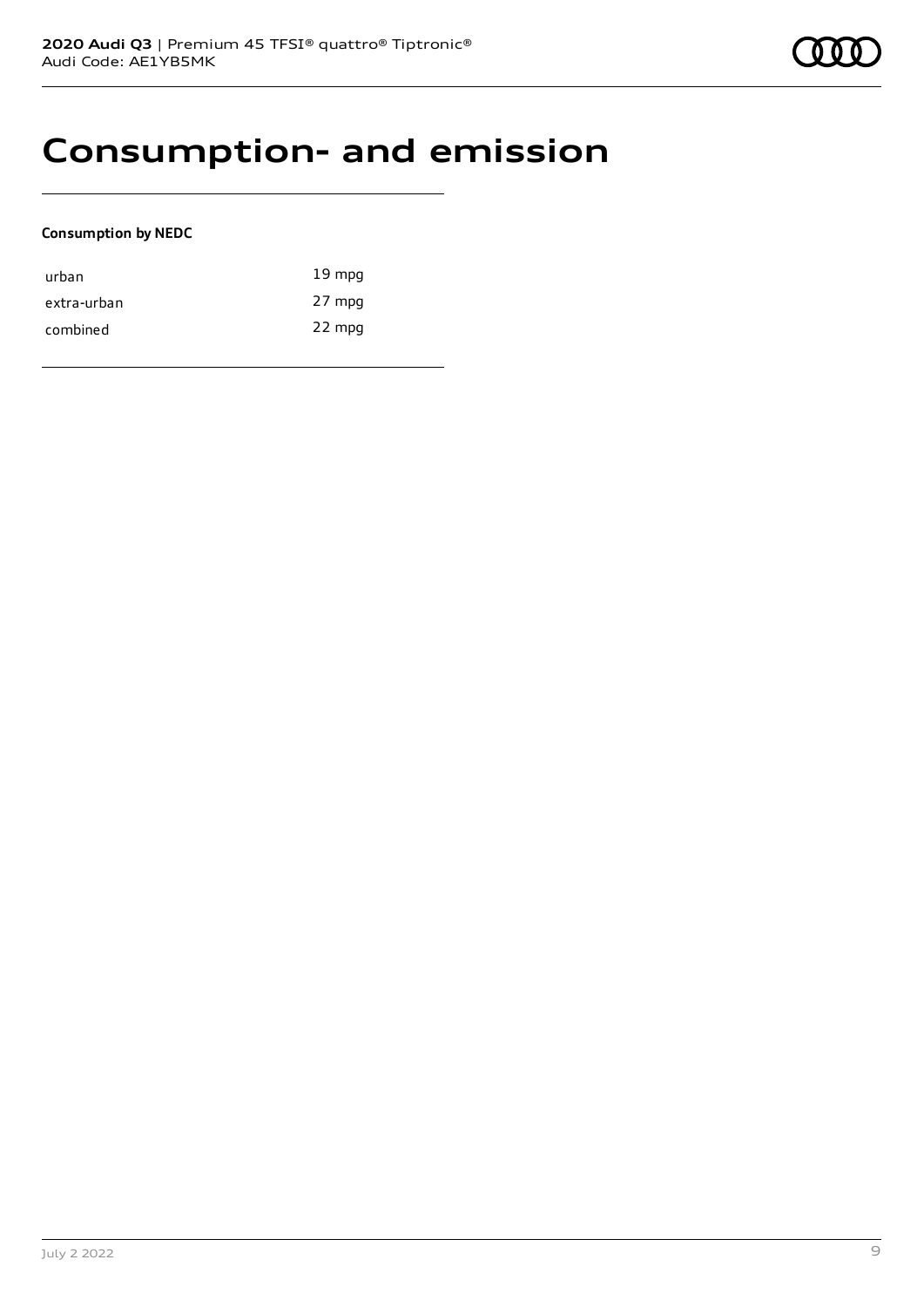### **Consumption- and emission**

### **Consumption by NEDC**

| urban       | $19 \text{ mpg}$ |
|-------------|------------------|
| extra-urban | 27 mpg           |
| combined    | 22 mpg           |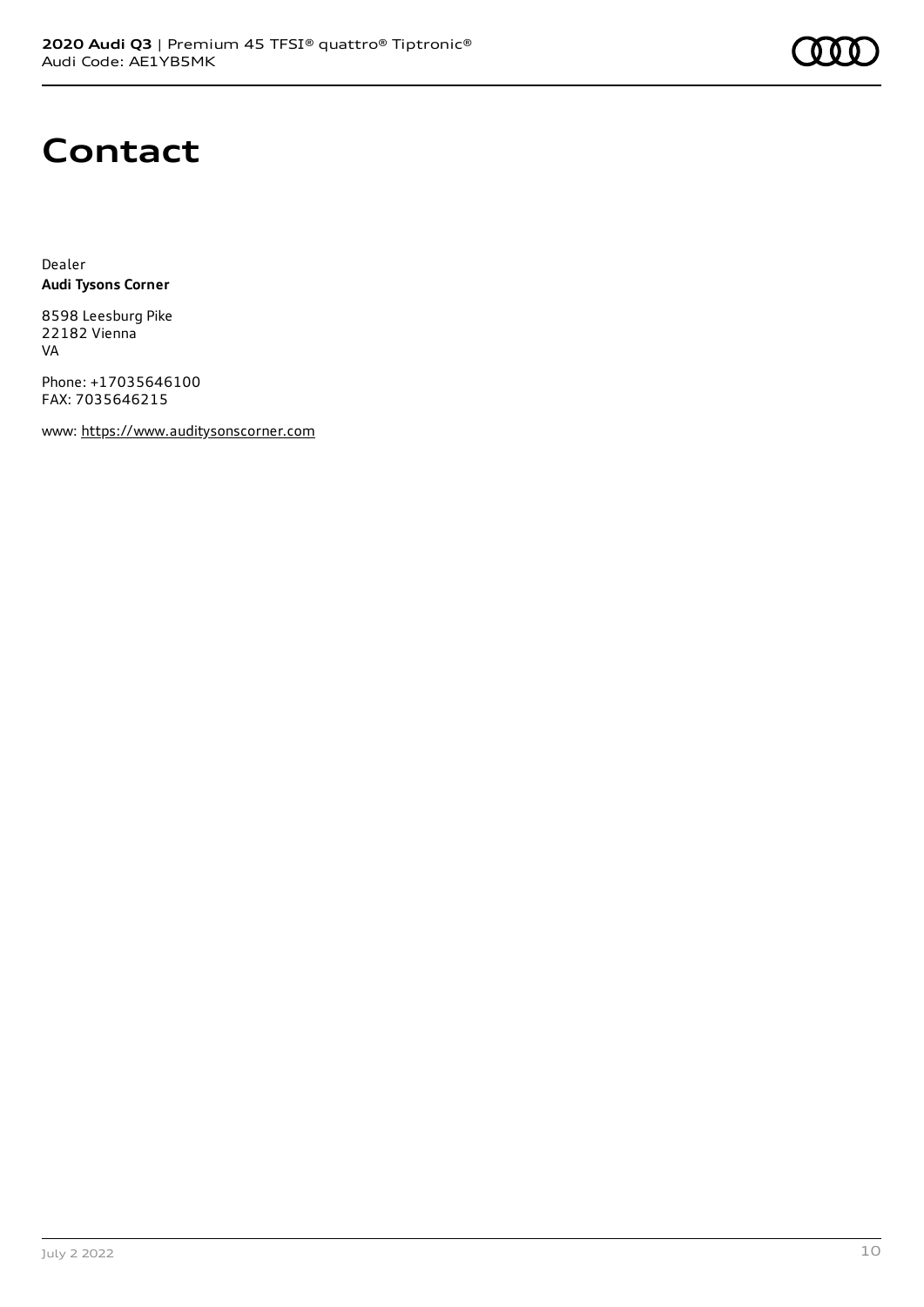

# **Contact**

Dealer **Audi Tysons Corner**

8598 Leesburg Pike 22182 Vienna VA

Phone: +17035646100 FAX: 7035646215

www: [https://www.auditysonscorner.com](https://www.auditysonscorner.com/)